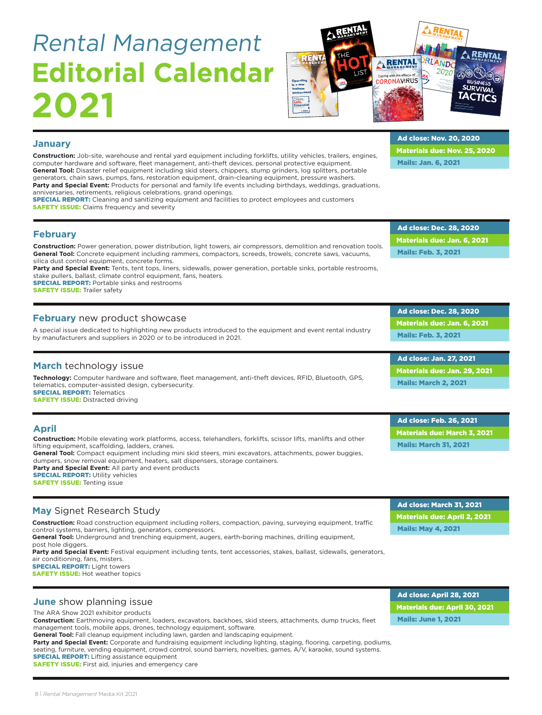## Rental Management **Editorial Calendar 2021**



Ad close: Nov. 20, 2020

## **January**

| Construction: Job-site, warehouse and rental yard equipment including forklifts, utility vehicles, trailers, engines,<br>computer hardware and software, fleet management, anti-theft devices, personal protective equipment.<br>General Tool: Disaster relief equipment including skid steers, chippers, stump grinders, log splitters, portable<br>generators, chain saws, pumps, fans, restoration equipment, drain-cleaning equipment, pressure washers.<br>Party and Special Event: Products for personal and family life events including birthdays, weddings, graduations,<br>anniversaries, retirements, religious celebrations, grand openings.<br><b>SPECIAL REPORT:</b> Cleaning and sanitizing equipment and facilities to protect employees and customers<br><b>SAFETY ISSUE:</b> Claims frequency and severity | <b>Materials due: Nov. 25, 2020</b>  |
|------------------------------------------------------------------------------------------------------------------------------------------------------------------------------------------------------------------------------------------------------------------------------------------------------------------------------------------------------------------------------------------------------------------------------------------------------------------------------------------------------------------------------------------------------------------------------------------------------------------------------------------------------------------------------------------------------------------------------------------------------------------------------------------------------------------------------|--------------------------------------|
|                                                                                                                                                                                                                                                                                                                                                                                                                                                                                                                                                                                                                                                                                                                                                                                                                              | <b>Mails: Jan. 6, 2021</b>           |
|                                                                                                                                                                                                                                                                                                                                                                                                                                                                                                                                                                                                                                                                                                                                                                                                                              | <b>Ad close: Dec. 28, 2020</b>       |
| <b>February</b><br>Construction: Power generation, power distribution, light towers, air compressors, demolition and renovation tools.<br><b>General Tool:</b> Concrete equipment including rammers, compactors, screeds, trowels, concrete saws, vacuums,<br>silica dust control equipment, concrete forms.<br>Party and Special Event: Tents, tent tops, liners, sidewalls, power generation, portable sinks, portable restrooms,<br>stake pullers, ballast, climate control equipment, fans, heaters.<br><b>SPECIAL REPORT:</b> Portable sinks and restrooms<br><b>SAFETY ISSUE: Trailer safety</b>                                                                                                                                                                                                                       | <b>Materials due: Jan. 6, 2021</b>   |
|                                                                                                                                                                                                                                                                                                                                                                                                                                                                                                                                                                                                                                                                                                                                                                                                                              | <b>Mails: Feb. 3, 2021</b>           |
|                                                                                                                                                                                                                                                                                                                                                                                                                                                                                                                                                                                                                                                                                                                                                                                                                              |                                      |
|                                                                                                                                                                                                                                                                                                                                                                                                                                                                                                                                                                                                                                                                                                                                                                                                                              | <b>Ad close: Dec. 28, 2020</b>       |
| February new product showcase                                                                                                                                                                                                                                                                                                                                                                                                                                                                                                                                                                                                                                                                                                                                                                                                | <b>Materials due: Jan. 6, 2021</b>   |
| A special issue dedicated to highlighting new products introduced to the equipment and event rental industry<br>by manufacturers and suppliers in 2020 or to be introduced in 2021.                                                                                                                                                                                                                                                                                                                                                                                                                                                                                                                                                                                                                                          | <b>Mails: Feb. 3, 2021</b>           |
|                                                                                                                                                                                                                                                                                                                                                                                                                                                                                                                                                                                                                                                                                                                                                                                                                              | <b>Ad close: Jan. 27, 2021</b>       |
| March technology issue<br>Technology: Computer hardware and software, fleet management, anti-theft devices, RFID, Bluetooth, GPS,<br>telematics, computer-assisted design, cybersecurity.<br><b>SPECIAL REPORT: Telematics</b><br><b>SAFETY ISSUE:</b> Distracted driving                                                                                                                                                                                                                                                                                                                                                                                                                                                                                                                                                    | <b>Materials due: Jan. 29, 2021</b>  |
|                                                                                                                                                                                                                                                                                                                                                                                                                                                                                                                                                                                                                                                                                                                                                                                                                              | <b>Mails: March 2, 2021</b>          |
| <b>April</b><br><b>Construction:</b> Mobile elevating work platforms, access, telehandlers, forklifts, scissor lifts, manlifts and other<br>lifting equipment, scaffolding, ladders, cranes.<br>General Tool: Compact equipment including mini skid steers, mini excavators, attachments, power buggies,<br>dumpers, snow removal equipment, heaters, salt dispensers, storage containers.<br>Party and Special Event: All party and event products<br><b>SPECIAL REPORT: Utility vehicles</b><br><b>SAFETY ISSUE: Tenting issue</b>                                                                                                                                                                                                                                                                                         | <b>Ad close: Feb. 26, 2021</b>       |
|                                                                                                                                                                                                                                                                                                                                                                                                                                                                                                                                                                                                                                                                                                                                                                                                                              | <b>Materials due: March 3, 2021</b>  |
|                                                                                                                                                                                                                                                                                                                                                                                                                                                                                                                                                                                                                                                                                                                                                                                                                              | <b>Mails: March 31, 2021</b>         |
|                                                                                                                                                                                                                                                                                                                                                                                                                                                                                                                                                                                                                                                                                                                                                                                                                              |                                      |
| May Signet Research Study<br><b>Construction:</b> Road construction equipment including rollers, compaction, paving, surveying equipment, traffic<br>control systems, barriers, lighting, generators, compressors.<br>General Tool: Underground and trenching equipment, augers, earth-boring machines, drilling equipment,<br>post hole diggers.<br>Party and Special Event: Festival equipment including tents, tent accessories, stakes, ballast, sidewalls, generators,<br>air conditioning, fans, misters.<br><b>SPECIAL REPORT: Light towers</b><br><b>SAFETY ISSUE: Hot weather topics</b>                                                                                                                                                                                                                            | <b>Ad close: March 31, 2021</b>      |
|                                                                                                                                                                                                                                                                                                                                                                                                                                                                                                                                                                                                                                                                                                                                                                                                                              | <b>Materials due: April 2, 2021</b>  |
|                                                                                                                                                                                                                                                                                                                                                                                                                                                                                                                                                                                                                                                                                                                                                                                                                              | <b>Mails: May 4, 2021</b>            |
|                                                                                                                                                                                                                                                                                                                                                                                                                                                                                                                                                                                                                                                                                                                                                                                                                              |                                      |
|                                                                                                                                                                                                                                                                                                                                                                                                                                                                                                                                                                                                                                                                                                                                                                                                                              | Ad close: April 28, 2021             |
| <b>June</b> show planning issue                                                                                                                                                                                                                                                                                                                                                                                                                                                                                                                                                                                                                                                                                                                                                                                              | <b>Materials due: April 30, 2021</b> |
| The ARA Show 2021 exhibitor products                                                                                                                                                                                                                                                                                                                                                                                                                                                                                                                                                                                                                                                                                                                                                                                         |                                      |

**Construction:** Earthmoving equipment, loaders, excavators, backhoes, skid steers, attachments, dump trucks, fleet management tools, mobile apps, drones, technology equipment, software.

**General Tool:** Fall cleanup equipment including lawn, garden and landscaping equipment.

Party and Special Event: Corporate and fundraising equipment including lighting, staging, flooring, carpeting, podiums, seating, furniture, vending equipment, crowd control, sound barriers, novelties, games, A/V, karaoke, sound systems.

SPECIAL REPORT: Lifting assistance equipment

**SAFETY ISSUE:** First aid, injuries and emergency care

8 | *Rental Management* Media Kit 2021

Mails: June 1, 2021